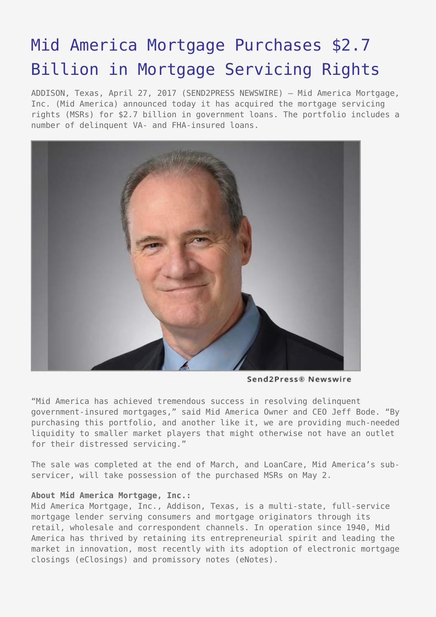## [Mid America Mortgage Purchases \\$2.7](https://www.send2press.com/wire/mid-america-mortgage-purchases-2-7-billion-in-mortgage-servicing-rights/) [Billion in Mortgage Servicing Rights](https://www.send2press.com/wire/mid-america-mortgage-purchases-2-7-billion-in-mortgage-servicing-rights/)

ADDISON, Texas, April 27, 2017 (SEND2PRESS NEWSWIRE) — Mid America Mortgage, Inc. (Mid America) announced today it has acquired the mortgage servicing rights (MSRs) for \$2.7 billion in government loans. The portfolio includes a number of delinquent VA- and FHA-insured loans.



Send2Press® Newswire

"Mid America has achieved tremendous success in resolving delinquent government-insured mortgages," said Mid America Owner and CEO Jeff Bode. "By purchasing this portfolio, and another like it, we are providing much-needed liquidity to smaller market players that might otherwise not have an outlet for their distressed servicing."

The sale was completed at the end of March, and LoanCare, Mid America's subservicer, will take possession of the purchased MSRs on May 2.

## **About Mid America Mortgage, Inc.:**

Mid America Mortgage, Inc., Addison, Texas, is a multi-state, full-service mortgage lender serving consumers and mortgage originators through its retail, wholesale and correspondent channels. In operation since 1940, Mid America has thrived by retaining its entrepreneurial spirit and leading the market in innovation, most recently with its adoption of electronic mortgage closings (eClosings) and promissory notes (eNotes).